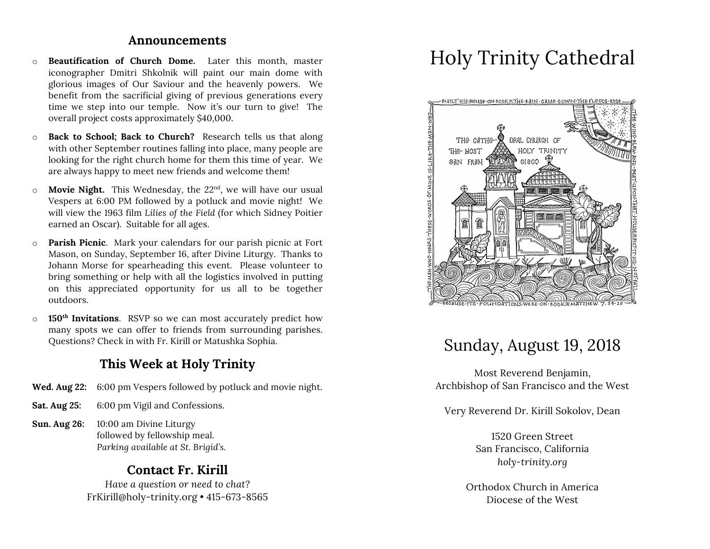#### **Announcements**

- o **Beautification of Church Dome.** Later this month, master iconographer Dmitri Shkolnik will paint our main dome with glorious images of Our Saviour and the heavenly powers. We benefit from the sacrificial giving of previous generations every time we step into our temple. Now it's our turn to give! The overall project costs approximately \$40,000.
- o **Back to School; Back to Church?** Research tells us that along with other September routines falling into place, many people are looking for the right church home for them this time of year. We are always happy to meet new friends and welcome them!
- o **Movie Night.** This Wednesday, the 22nd, we will have our usual Vespers at 6:00 PM followed by a potluck and movie night! We will view the 1963 film *Lilies of the Field* (for which Sidney Poitier earned an Oscar). Suitable for all ages.
- o **Parish Picnic**. Mark your calendars for our parish picnic at Fort Mason, on Sunday, September 16, after Divine Liturgy. Thanks to Johann Morse for spearheading this event. Please volunteer to bring something or help with all the logistics involved in putting on this appreciated opportunity for us all to be together outdoors.
- o **150th Invitations**. RSVP so we can most accurately predict how many spots we can offer to friends from surrounding parishes. Questions? Check in with Fr. Kirill or Matushka Sophia.

## **This Week at Holy Trinity**

- **Wed. Aug 22:** 6:00 pm Vespers followed by potluck and movie night.
- **Sat. Aug 25:** 6:00 pm Vigil and Confessions.
- **Sun. Aug 26:** 10:00 am Divine Liturgy followed by fellowship meal. *Parking available at St. Brigid's.*

## **Contact Fr. Kirill**

*Have a question or need to chat?* FrKirill@holy-trinity.org • 415-673-8565

# Holy Trinity Cathedral



## Sunday, August 19, 2018

Most Reverend Benjamin, Archbishop of San Francisco and the West

Very Reverend Dr. Kirill Sokolov, Dean

1520 Green Street San Francisco, California *holy-trinity.org*

Orthodox Church in America Diocese of the West